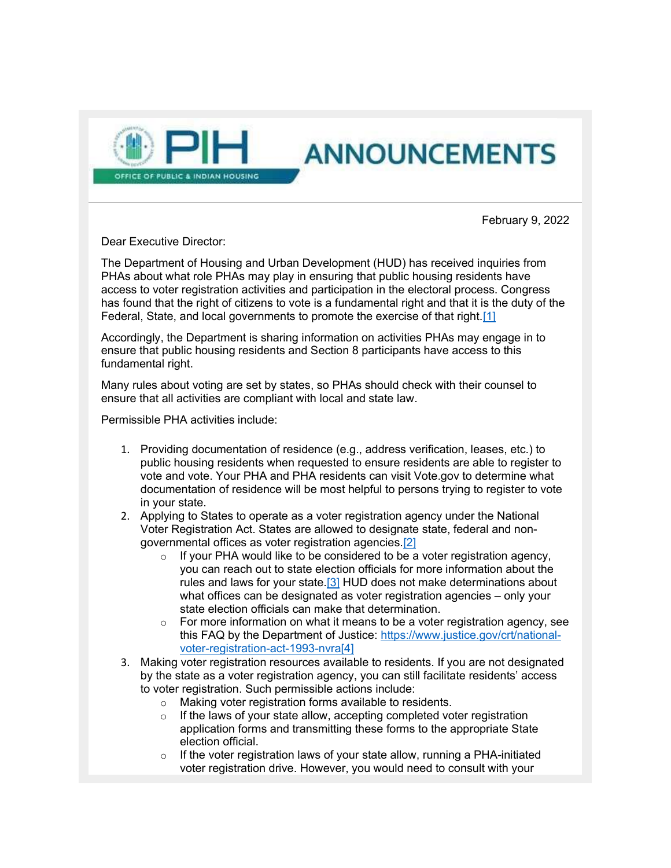

February 9, 2022

**ANNOUNCEMENTS** 

Dear Executive Director:

The Department of Housing and Urban Development (HUD) has received inquiries from PHAs about what role PHAs may play in ensuring that public housing residents have access to voter registration activities and participation in the electoral process. Congress has found that the right of citizens to vote is a fundamental right and that it is the duty of the Federal, State, and local governments to promote the exercise of that right.[1]

Accordingly, the Department is sharing information on activities PHAs may engage in to ensure that public housing residents and Section 8 participants have access to this fundamental right.

Many rules about voting are set by states, so PHAs should check with their counsel to ensure that all activities are compliant with local and state law.

Permissible PHA activities include:

- 1. Providing documentation of residence (e.g., address verification, leases, etc.) to public housing residents when requested to ensure residents are able to register to vote and vote. Your PHA and PHA residents can visit Vote.gov to determine what documentation of residence will be most helpful to persons trying to register to vote in your state.
- 2. Applying to States to operate as a voter registration agency under the National Voter Registration Act. States are allowed to designate state, federal and nongovernmental offices as voter registration agencies.[2]
	- o If your PHA would like to be considered to be a voter registration agency, you can reach out to state election officials for more information about the rules and laws for your state.<sup>[3]</sup> HUD does not make determinations about what offices can be designated as voter registration agencies – only your state election officials can make that determination.
	- $\circ$  For more information on what it means to be a voter registration agency, see this FAQ by the Department of Justice: https://www.justice.gov/crt/nationalvoter-registration-act-1993-nvra[4]
- 3. Making voter registration resources available to residents. If you are not designated by the state as a voter registration agency, you can still facilitate residents' access to voter registration. Such permissible actions include:
	- o Making voter registration forms available to residents.
	- $\circ$  If the laws of your state allow, accepting completed voter registration application forms and transmitting these forms to the appropriate State election official.
	- $\circ$  If the voter registration laws of your state allow, running a PHA-initiated voter registration drive. However, you would need to consult with your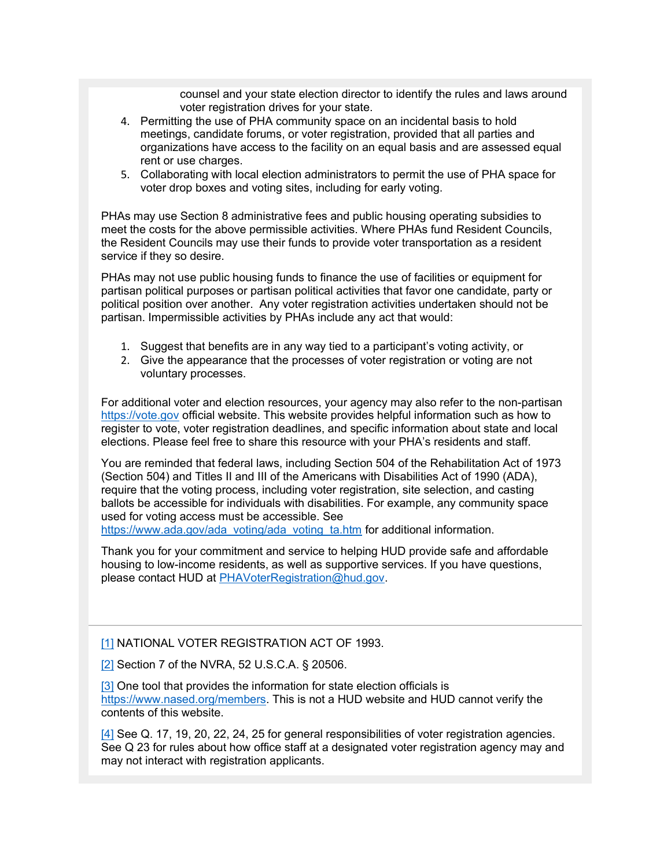counsel and your state election director to identify the rules and laws around voter registration drives for your state.

- 4. Permitting the use of PHA community space on an incidental basis to hold meetings, candidate forums, or voter registration, provided that all parties and organizations have access to the facility on an equal basis and are assessed equal rent or use charges.
- 5. Collaborating with local election administrators to permit the use of PHA space for voter drop boxes and voting sites, including for early voting.

PHAs may use Section 8 administrative fees and public housing operating subsidies to meet the costs for the above permissible activities. Where PHAs fund Resident Councils, the Resident Councils may use their funds to provide voter transportation as a resident service if they so desire.

PHAs may not use public housing funds to finance the use of facilities or equipment for partisan political purposes or partisan political activities that favor one candidate, party or political position over another. Any voter registration activities undertaken should not be partisan. Impermissible activities by PHAs include any act that would:

- 1. Suggest that benefits are in any way tied to a participant's voting activity, or
- 2. Give the appearance that the processes of voter registration or voting are not voluntary processes.

For additional voter and election resources, your agency may also refer to the non-partisan https://vote.gov official website. This website provides helpful information such as how to register to vote, voter registration deadlines, and specific information about state and local elections. Please feel free to share this resource with your PHA's residents and staff.

You are reminded that federal laws, including Section 504 of the Rehabilitation Act of 1973 (Section 504) and Titles II and III of the Americans with Disabilities Act of 1990 (ADA), require that the voting process, including voter registration, site selection, and casting ballots be accessible for individuals with disabilities. For example, any community space used for voting access must be accessible. See

https://www.ada.gov/ada\_voting/ada\_voting\_ta.htm for additional information.

Thank you for your commitment and service to helping HUD provide safe and affordable housing to low-income residents, as well as supportive services. If you have questions, please contact HUD at PHAVoterRegistration@hud.gov.

## [1] NATIONAL VOTER REGISTRATION ACT OF 1993.

[2] Section 7 of the NVRA, 52 U.S.C.A. § 20506.

[3] One tool that provides the information for state election officials is https://www.nased.org/members. This is not a HUD website and HUD cannot verify the contents of this website.

[4] See Q. 17, 19, 20, 22, 24, 25 for general responsibilities of voter registration agencies. See Q 23 for rules about how office staff at a designated voter registration agency may and may not interact with registration applicants.